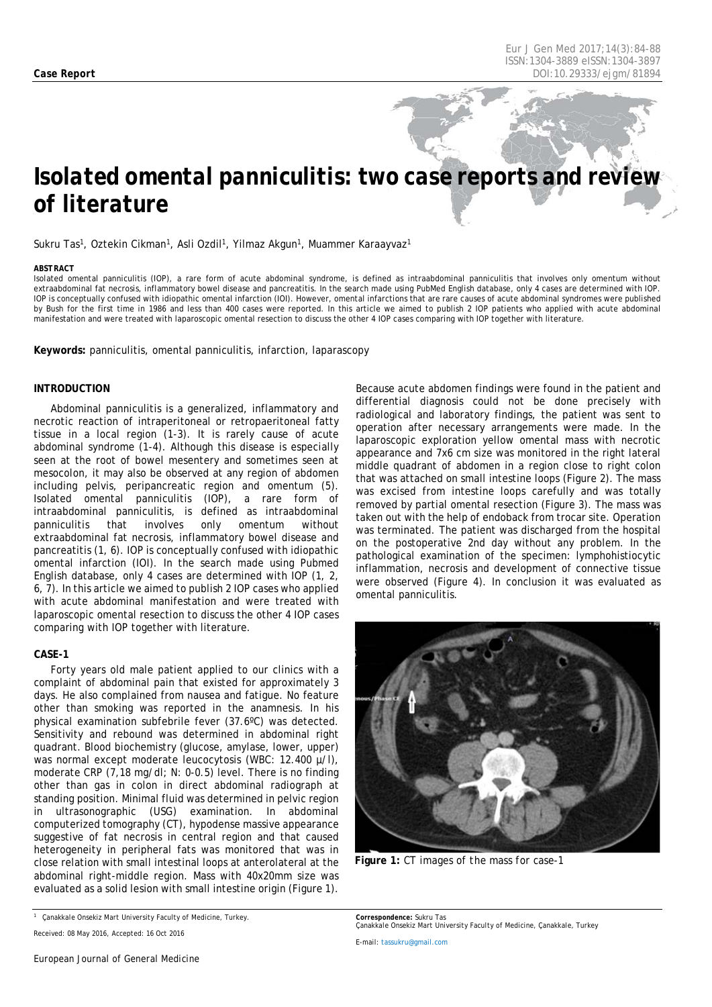# *Isolated omental panniculitis: two case reports and review of literature*

Sukru Tas<sup>1</sup>, Oztekin Cikman<sup>1</sup>, Asli Ozdil<sup>1</sup>, Yilmaz Akgun<sup>1</sup>, Muammer Karaayvaz<sup>1</sup>

#### <span id="page-0-0"></span>*ABSTRACT*

Isolated omental panniculitis (IOP), a rare form of acute abdominal syndrome, is defined as intraabdominal panniculitis that involves only omentum without extraabdominal fat necrosis, inflammatory bowel disease and pancreatitis. In the search made using PubMed English database, only 4 cases are determined with IOP. IOP is conceptually confused with idiopathic omental infarction (IOI). However, omental infarctions that are rare causes of acute abdominal syndromes were published by Bush for the first time in 1986 and less than 400 cases were reported. In this article we aimed to publish 2 IOP patients who applied with acute abdominal manifestation and were treated with laparoscopic omental resection to discuss the other 4 IOP cases comparing with IOP together with literature.

**Keywords:** panniculitis, omental panniculitis, infarction, laparascopy

### **INTRODUCTION**

Abdominal panniculitis is a generalized, inflammatory and necrotic reaction of intraperitoneal or retropaeritoneal fatty tissue in a local region (1-3). It is rarely cause of acute abdominal syndrome (1-4). Although this disease is especially seen at the root of bowel mesentery and sometimes seen at mesocolon, it may also be observed at any region of abdomen including pelvis, peripancreatic region and omentum (5). Isolated omental panniculitis (IOP), a rare form of intraabdominal panniculitis, is defined as intraabdominal panniculitis that involves only omentum without extraabdominal fat necrosis, inflammatory bowel disease and pancreatitis (1, 6). IOP is conceptually confused with idiopathic omental infarction (IOI). In the search made using Pubmed English database, only 4 cases are determined with IOP (1, 2, 6, 7). In this article we aimed to publish 2 IOP cases who applied with acute abdominal manifestation and were treated with laparoscopic omental resection to discuss the other 4 IOP cases comparing with IOP together with literature.

#### **CASE-1**

Forty years old male patient applied to our clinics with a complaint of abdominal pain that existed for approximately 3 days. He also complained from nausea and fatigue. No feature other than smoking was reported in the anamnesis. In his physical examination subfebrile fever (37.6ºC) was detected. Sensitivity and rebound was determined in abdominal right quadrant. Blood biochemistry (glucose, amylase, lower, upper) was normal except moderate leucocytosis (WBC: 12.400 µ/l), moderate CRP (7,18 mg/dl; N: 0-0.5) level. There is no finding other than gas in colon in direct abdominal radiograph at standing position. Minimal fluid was determined in pelvic region in ultrasonographic (USG) examination. In abdominal computerized tomography (CT), hypodense massive appearance suggestive of fat necrosis in central region and that caused heterogeneity in peripheral fats was monitored that was in close relation with small intestinal loops at anterolateral at the abdominal right-middle region. Mass with 40x20mm size was evaluated as a solid lesion with small intestine origin (Figure 1).

differential diagnosis could not be done precisely with radiological and laboratory findings, the patient was sent to operation after necessary arrangements were made. In the laparoscopic exploration yellow omental mass with necrotic appearance and 7x6 cm size was monitored in the right lateral middle quadrant of abdomen in a region close to right colon that was attached on small intestine loops (Figure 2). The mass was excised from intestine loops carefully and was totally removed by partial omental resection (Figure 3). The mass was taken out with the help of endoback from trocar site. Operation was terminated. The patient was discharged from the hospital on the postoperative 2nd day without any problem. In the pathological examination of the specimen: lymphohistiocytic inflammation, necrosis and development of connective tissue were observed (Figure 4). In conclusion it was evaluated as omental panniculitis.

Because acute abdomen findings were found in the patient and



**Figure 1:** *CT images of the mass for case-1*

*<sup>1</sup> Çanakkale Onsekiz Mart University Faculty of Medicine, Turkey.*

*Received: 08 May 2016, Accepted: 16 Oct 2016*

*Correspondence: Sukru Tas Çanakkale Onsekiz Mart University Faculty of Medicine, Çanakkale, Turkey*

*E-mail[: tassukru@gmail.com](mailto:tassukru@gmail.com)*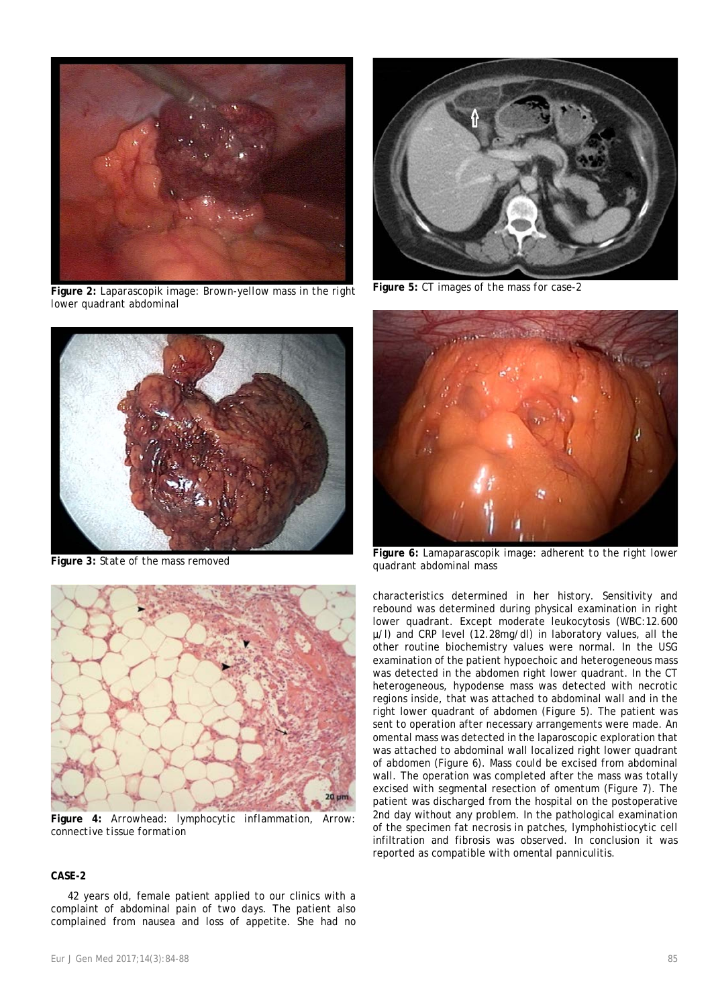

**Figure 2:** *Laparascopik image: Brown-yellow mass in the right lower quadrant abdominal*



**Figure 3:** *State of the mass removed*



**Figure 4:** *Arrowhead: lymphocytic inflammation, Arrow: connective tissue formation*

### **CASE-2**

42 years old, female patient applied to our clinics with a complaint of abdominal pain of two days. The patient also complained from nausea and loss of appetite. She had no



**Figure 5:** *CT images of the mass for case-2*



**Figure 6:** *Lamaparascopik image: adherent to the right lower quadrant abdominal mass*

characteristics determined in her history. Sensitivity and rebound was determined during physical examination in right lower quadrant. Except moderate leukocytosis (WBC:12.600 µ/l) and CRP level (12.28mg/dl) in laboratory values, all the other routine biochemistry values were normal. In the USG examination of the patient hypoechoic and heterogeneous mass was detected in the abdomen right lower quadrant. In the CT heterogeneous, hypodense mass was detected with necrotic regions inside, that was attached to abdominal wall and in the right lower quadrant of abdomen (Figure 5). The patient was sent to operation after necessary arrangements were made. An omental mass was detected in the laparoscopic exploration that was attached to abdominal wall localized right lower quadrant of abdomen (Figure 6). Mass could be excised from abdominal wall. The operation was completed after the mass was totally excised with segmental resection of omentum (Figure 7). The patient was discharged from the hospital on the postoperative 2nd day without any problem. In the pathological examination of the specimen fat necrosis in patches, lymphohistiocytic cell infiltration and fibrosis was observed. In conclusion it was reported as compatible with omental panniculitis.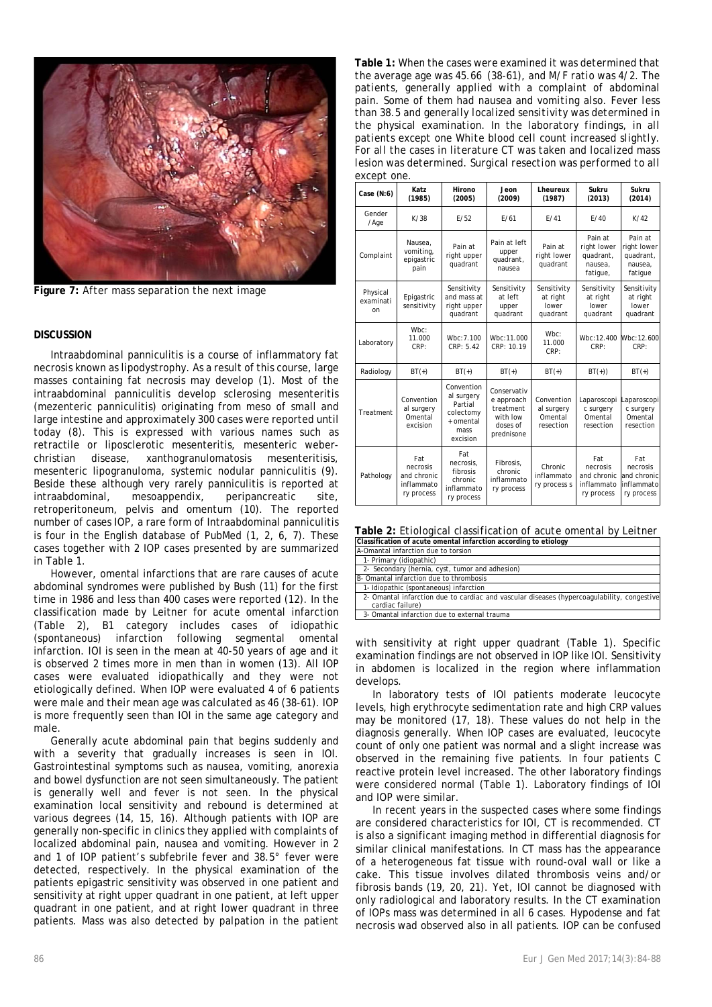

**Figure 7:** *After mass separation the next image*

#### **DISCUSSION**

Intraabdominal panniculitis is a course of inflammatory fat necrosis known as lipodystrophy. As a result of this course, large masses containing fat necrosis may develop (1). Most of the intraabdominal panniculitis develop sclerosing mesenteritis (mezenteric panniculitis) originating from meso of small and large intestine and approximately 300 cases were reported until today (8). This is expressed with various names such as retractile or liposclerotic mesenteritis, mesenteric weberchristian disease, xanthogranulomatosis mesenteritisis, mesenteric lipogranuloma, systemic nodular panniculitis (9). Beside these although very rarely panniculitis is reported at intraabdominal, mesoappendix, peripancreatic site, retroperitoneum, pelvis and omentum (10). The reported number of cases IOP, a rare form of Intraabdominal panniculitis is four in the English database of PubMed (1, 2, 6, 7). These cases together with 2 IOP cases presented by are summarized in Table 1.

However, omental infarctions that are rare causes of acute abdominal syndromes were published by Bush (11) for the first time in 1986 and less than 400 cases were reported (12). In the classification made by Leitner for acute omental infarction (Table 2), B1 category includes cases of idiopathic (spontaneous) infarction following segmental omental infarction. IOI is seen in the mean at 40-50 years of age and it is observed 2 times more in men than in women (13). All IOP cases were evaluated idiopathically and they were not etiologically defined. When IOP were evaluated 4 of 6 patients were male and their mean age was calculated as 46 (38-61). IOP is more frequently seen than IOI in the same age category and male.

Generally acute abdominal pain that begins suddenly and with a severity that gradually increases is seen in IOI. Gastrointestinal symptoms such as nausea, vomiting, anorexia and bowel dysfunction are not seen simultaneously. The patient is generally well and fever is not seen. In the physical examination local sensitivity and rebound is determined at various degrees (14, 15, 16). Although patients with IOP are generally non-specific in clinics they applied with complaints of localized abdominal pain, nausea and vomiting. However in 2 and 1 of IOP patient's subfebrile fever and 38.5° fever were detected, respectively. In the physical examination of the patients epigastric sensitivity was observed in one patient and sensitivity at right upper quadrant in one patient, at left upper quadrant in one patient, and at right lower quadrant in three patients. Mass was also detected by palpation in the patient

**Table 1:** *When the cases were examined it was determined that the average age was 45.66 (38-61), and M/F ratio was 4/2. The patients, generally applied with a complaint of abdominal pain. Some of them had nausea and vomiting also. Fever less than 38.5 and generally localized sensitivity was determined in the physical examination. In the laboratory findings, in all patients except one White blood cell count increased slightly. For all the cases in literature CT was taken and localized mass lesion was determined. Surgical resection was performed to all except one.*

| $0.100 \mu$ to $0.10$       |                                                            |                                                                                   |                                                                              |                                                  |                                                            |                                                            |
|-----------------------------|------------------------------------------------------------|-----------------------------------------------------------------------------------|------------------------------------------------------------------------------|--------------------------------------------------|------------------------------------------------------------|------------------------------------------------------------|
| Case $(N:6)$                | Katz<br>(1985)                                             | Hirono<br>(2005)                                                                  | Jeon<br>(2009)                                                               | Lheureux<br>(1987)                               | Sukru<br>(2013)                                            | Sukru<br>(2014)                                            |
| Gender<br>/Age              | K/38                                                       | F/52                                                                              | F/61                                                                         | F/41                                             | F/40                                                       | K/42                                                       |
| Complaint                   | Nausea.<br>vomiting,<br>epigastric<br>pain                 | Pain at<br>right upper<br>quadrant                                                | Pain at left<br>upper<br>quadrant,<br>nausea                                 | Pain at<br>right lower<br>quadrant               | Pain at<br>right lower<br>quadrant,<br>nausea,<br>fatigue, | Pain at<br>right lower<br>quadrant,<br>nausea,<br>fatigue  |
| Physical<br>examinati<br>on | Epigastric<br>sensitivity                                  | Sensitivity<br>and mass at<br>right upper<br>quadrant                             | Sensitivity<br>at left<br>upper<br>quadrant                                  | Sensitivity<br>at right<br>lower<br>quadrant     | Sensitivity<br>at right<br>lower<br>quadrant               | Sensitivity<br>at right<br>lower<br>quadrant               |
| Laboratory                  | Wbc:<br>11.000<br>CRP:                                     | Wbc:7.100<br>CRP: 5.42                                                            | Wbc:11.000<br>CRP: 10.19                                                     | Wbc:<br>11.000<br>CRP:                           | Wbc:12.400<br>CRP:                                         | Wbc:12.600<br>CRP:                                         |
| Radiology                   | $BT(+)$                                                    | $BT(+)$                                                                           | $BT(+)$                                                                      | $BT(+)$                                          | $BT(+))$                                                   | $BT(+)$                                                    |
| Treatment                   | Convention<br>al surgery<br>Omental<br>excision            | Convention<br>al surgery<br>Partial<br>colectomy<br>+ omental<br>mass<br>excision | Conservativ<br>e approach<br>treatment<br>with low<br>doses of<br>prednisone | Convention<br>al surgery<br>Omental<br>resection | Laparoscopi<br>c surgery<br>Omental<br>resection           | Laparoscopi<br>c surgery<br>Omental<br>resection           |
| Pathology                   | Fat<br>necrosis<br>and chronic<br>inflammato<br>ry process | Fat<br>necrosis.<br>fibrosis<br>chronic<br>inflammato<br>ry process               | Fibrosis.<br>chronic<br>inflammato<br>ry process                             | Chronic<br>inflammato<br>ry process s            | Fat<br>necrosis<br>and chronic<br>inflammato<br>ry process | Fat<br>necrosis<br>and chronic<br>inflammato<br>ry process |

**Table 2:** *Etiological classification of acute omental by Leitner* **Classification of acute omental infarction according to etiology**

| A-Omantal infarction due to torsion                                                                            |
|----------------------------------------------------------------------------------------------------------------|
| 1- Primary (idiopathic)                                                                                        |
| 2- Secondary (hernia, cyst, tumor and adhesion)                                                                |
| B- Omantal infarction due to thrombosis                                                                        |
| 1- Idiopathic (spontaneous) infarction                                                                         |
| 2- Omantal infarction due to cardiac and vascular diseases (hypercoagulability, congestive<br>cardiac failure) |
| 3- Omantal infarction due to external trauma                                                                   |

with sensitivity at right upper quadrant (Table 1). Specific examination findings are not observed in IOP like IOI. Sensitivity in abdomen is localized in the region where inflammation develops.

In laboratory tests of IOI patients moderate leucocyte levels, high erythrocyte sedimentation rate and high CRP values may be monitored (17, 18). These values do not help in the diagnosis generally. When IOP cases are evaluated, leucocyte count of only one patient was normal and a slight increase was observed in the remaining five patients. In four patients C reactive protein level increased. The other laboratory findings were considered normal (Table 1). Laboratory findings of IOI and IOP were similar.

In recent years in the suspected cases where some findings are considered characteristics for IOI, CT is recommended. CT is also a significant imaging method in differential diagnosis for similar clinical manifestations. In CT mass has the appearance of a heterogeneous fat tissue with round-oval wall or like a cake. This tissue involves dilated thrombosis veins and/or fibrosis bands (19, 20, 21). Yet, IOI cannot be diagnosed with only radiological and laboratory results. In the CT examination of IOPs mass was determined in all 6 cases. Hypodense and fat necrosis wad observed also in all patients. IOP can be confused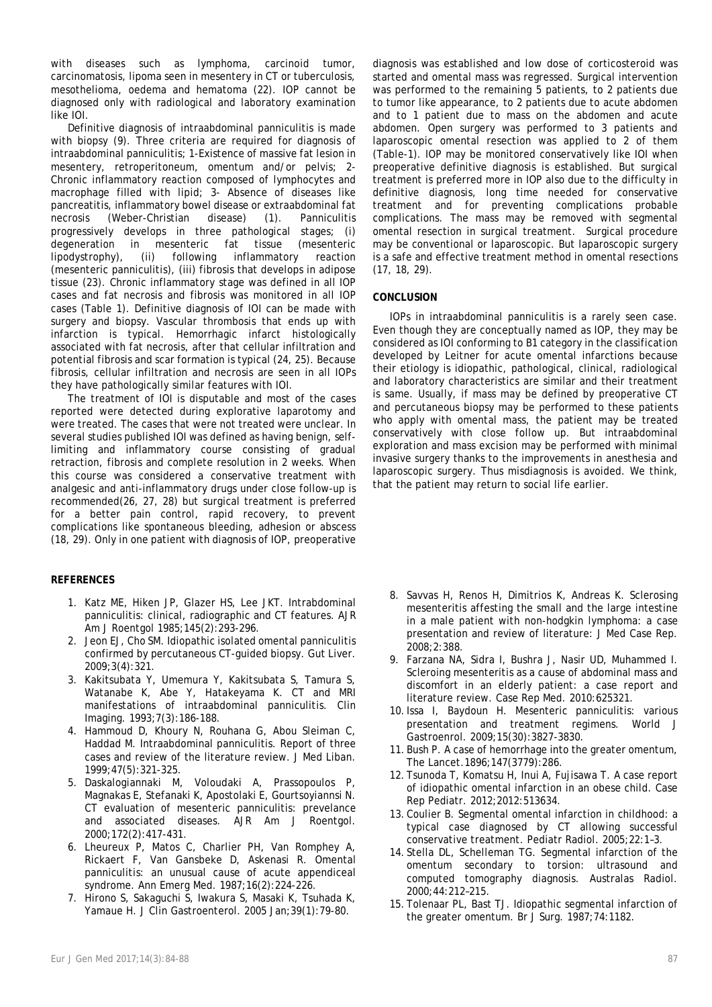with diseases such as Ivmphoma, carcinoid tumor, carcinomatosis, lipoma seen in mesentery in CT or tuberculosis, mesothelioma, oedema and hematoma (22). IOP cannot be diagnosed only with radiological and laboratory examination like IOI.

Definitive diagnosis of intraabdominal panniculitis is made with biopsy (9). Three criteria are required for diagnosis of intraabdominal panniculitis; 1-Existence of massive fat lesion in mesentery, retroperitoneum, omentum and/or pelvis; 2- Chronic inflammatory reaction composed of lymphocytes and macrophage filled with lipid; 3- Absence of diseases like pancreatitis, inflammatory bowel disease or extraabdominal fat necrosis (Weber-Christian disease) (1). Panniculitis progressively develops in three pathological stages; (i) degeneration in mesenteric fat tissue (mesenteric lipodystrophy), (ii) following inflammatory reaction (mesenteric panniculitis), (iii) fibrosis that develops in adipose tissue (23). Chronic inflammatory stage was defined in all IOP cases and fat necrosis and fibrosis was monitored in all IOP cases (Table 1). Definitive diagnosis of IOI can be made with surgery and biopsy. Vascular thrombosis that ends up with infarction is typical. Hemorrhagic infarct histologically associated with fat necrosis, after that cellular infiltration and potential fibrosis and scar formation is typical (24, 25). Because fibrosis, cellular infiltration and necrosis are seen in all IOPs they have pathologically similar features with IOI.

The treatment of IOI is disputable and most of the cases reported were detected during explorative laparotomy and were treated. The cases that were not treated were unclear. In several studies published IOI was defined as having benign, selflimiting and inflammatory course consisting of gradual retraction, fibrosis and complete resolution in 2 weeks. When this course was considered a conservative treatment with analgesic and anti-inflammatory drugs under close follow-up is recommended(26, 27, 28) but surgical treatment is preferred for a better pain control, rapid recovery, to prevent complications like spontaneous bleeding, adhesion or abscess (18, 29). Only in one patient with diagnosis of IOP, preoperative

# **REFERENCES**

- 1. Katz ME, Hiken JP, Glazer HS, Lee JKT. Intrabdominal panniculitis: clinical, radiographic and CT features. AJR Am J Roentgol 1985;145(2):293-296.
- 2. Jeon EJ, Cho SM. Idiopathic isolated omental panniculitis confirmed by percutaneous CT-guided biopsy. Gut Liver. 2009;3(4):321.
- 3. Kakitsubata Y, Umemura Y, Kakitsubata S, Tamura S, Watanabe K, Abe Y, Hatakeyama K. CT and MRI manifestations of intraabdominal panniculitis. Clin Imaging. 1993;7(3):186-188.
- 4. Hammoud D, Khoury N, Rouhana G, Abou Sleiman C, Haddad M. Intraabdominal panniculitis. Report of three cases and review of the literature review. J Med Liban. 1999;47(5):321-325.
- 5. Daskalogiannaki M, Voloudaki A, Prassopoulos P, Magnakas E, Stefanaki K, Apostolaki E, Gourtsoyiannsi N. CT evaluation of mesenteric panniculitis: prevelance and associated diseases. AJR Am J Roentgol. 2000;172(2):417-431.
- 6. Lheureux P, Matos C, Charlier PH, Van Romphey A, Rickaert F, Van Gansbeke D, Askenasi R. Omental panniculitis: an unusual cause of acute appendiceal syndrome. Ann Emerg Med. 1987;16(2):224-226.
- 7. Hirono S, Sakaguchi S, Iwakura S, Masaki K, Tsuhada K, Yamaue H. J Clin Gastroenterol. 2005 Jan;39(1):79-80.

diagnosis was established and low dose of corticosteroid was started and omental mass was regressed. Surgical intervention was performed to the remaining 5 patients, to 2 patients due to tumor like appearance, to 2 patients due to acute abdomen and to 1 patient due to mass on the abdomen and acute abdomen. Open surgery was performed to 3 patients and laparoscopic omental resection was applied to 2 of them (Table-1). IOP may be monitored conservatively like IOI when preoperative definitive diagnosis is established. But surgical treatment is preferred more in IOP also due to the difficulty in definitive diagnosis, long time needed for conservative treatment and for preventing complications probable complications. The mass may be removed with segmental omental resection in surgical treatment. Surgical procedure may be conventional or laparoscopic. But laparoscopic surgery is a safe and effective treatment method in omental resections (17, 18, 29).

## **CONCLUSION**

IOPs in intraabdominal panniculitis is a rarely seen case. Even though they are conceptually named as IOP, they may be considered as IOI conforming to B1 category in the classification developed by Leitner for acute omental infarctions because their etiology is idiopathic, pathological, clinical, radiological and laboratory characteristics are similar and their treatment is same. Usually, if mass may be defined by preoperative CT and percutaneous biopsy may be performed to these patients who apply with omental mass, the patient may be treated conservatively with close follow up. But intraabdominal exploration and mass excision may be performed with minimal invasive surgery thanks to the improvements in anesthesia and laparoscopic surgery. Thus misdiagnosis is avoided. We think, that the patient may return to social life earlier.

- 8. Savvas H, Renos H, Dimitrios K, Andreas K. Sclerosing mesenteritis affesting the small and the large intestine in a male patient with non-hodgkin lymphoma: a case presentation and review of literature: J Med Case Rep. 2008;2:388.
- 9. Farzana NA, Sidra I, Bushra J, Nasir UD, Muhammed I. Scleroing mesenteritis as a cause of abdominal mass and discomfort in an elderly patient: a case report and literature review. Case Rep Med. 2010:625321.
- 10.Issa I, Baydoun H. Mesenteric panniculitis: various presentation and treatment regimens. World J Gastroenrol. 2009;15(30):3827-3830.
- 11. Bush P. A case of hemorrhage into the greater omentum, The Lancet.1896;147(3779):286.
- 12. Tsunoda T, Komatsu H, Inui A, Fujisawa T. A case report of idiopathic omental infarction in an obese child. Case Rep Pediatr. 2012;2012:513634.
- 13. Coulier B. Segmental omental infarction in childhood: a typical case diagnosed by CT allowing successful conservative treatment. Pediatr Radiol. 2005;22:1–3.
- 14. Stella DL, Schelleman TG. Segmental infarction of the omentum secondary to torsion: ultrasound and computed tomography diagnosis. Australas Radiol. 2000;44:212–215.
- 15. Tolenaar PL, Bast TJ. Idiopathic segmental infarction of the greater omentum. Br J Surg. 1987;74:1182.